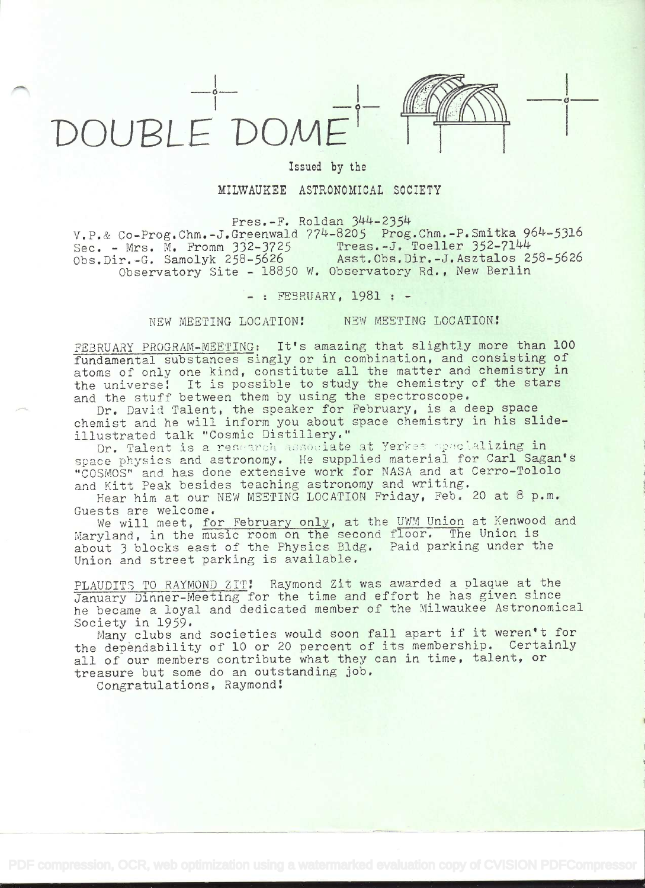

## Issued by the

## MILWAUKEE ASTRONOMICAL SOCIETY

 $Press.-F.$  Roldan  $344-2354$ 

v.P.& Co-Prog.Chm.-J.Greenwald 774-8205 Prog.Chm.-P.Smitka 964-5316<br>Sec. - Mrs. M. Fromm 332-3725 Treas.-J. Toeller 352-7144 Sec. - Mrs. M. Fromm 332-3725<br>Obs.Dir.-G. Samolyk 258-5626 Asst.Obs.Dir.-J.Asztalos 258-5626 Observatory Site - 18850 W. Observatory Rd., New Berlin

- : FEBRUARY, 1981 : -

NEW MEETING LOCATION! NEW MEETING LOCATION!

FEBRUARY PROGRAM-MEETING: It's amazing that slightly more than 100 fundamental substances singly or in combination, and consisting of atoms of only one kind, constitute all the matter and chemistry in the universei It is possible to study the chemistry of the stars and the stuff between them by using the spectroscope.

Dr. David Talent, the speaker for February, is a deep space chemist and he will inform you about space chemistry in his slideillustrated talk "Cosmic Distillery."

Dr. Talent is a research associate at Yerkes specializing in space physics and astronomy. He supplied material for Carl Sagan's "COSMOS" and has done extensive work for NASA and at Cerro-Tololo and Kitt Peak besides teaching astronomy and writing.

Hear him at our NEW MEETING LOCATION Friday, Feb. 20 at 8 p.m. Guests are welcome.

We will meet, for February only, at the UWM Union at Kenwood and Maryland, in the music room on the second floor. The Union is about 3 blocks east of the Physics Bldg. Paid parking under the Union and street parking is available,

PLAUDITS TO RAYMOND ZIT! Raymond Zit was awarded a plaque at the January Dinner-Meeting for the time and effort he has given since he became a loyal and dedicated member of the Milwaukee Astronomical Society in 1959,

Many clubs and societies would soon fall apart if it weren't for the dependability of 10 or 20 percent of its membership. Certainly all of our members contribute what they can in time, talent, or treasure but some do an outstanding job.

Congratulations, Raymond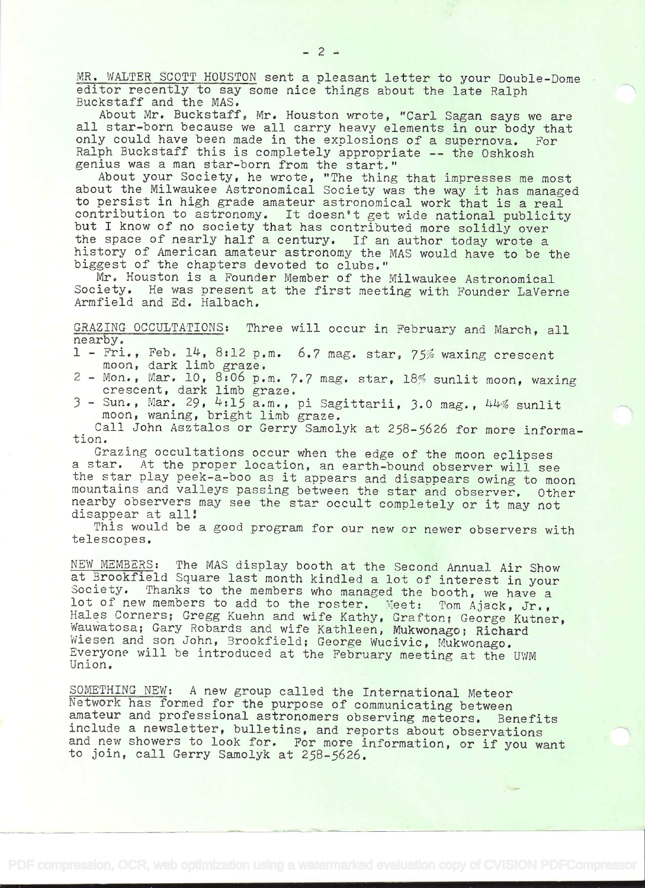MR. WALTER SCOTT HOUSTON sent a pleasant letter to your Double-Dome editor recently to say some nice things about the late Ralph .Buckstaff and the MAS.

About Mr. Buckstaff, Mr. Houston wrote, 'Carl Sagan says we are all star-born because we all carry heavy elements in our body that only could have been made in the explosions of a supernova. For Ralph Buckstaff this is completely appropriate -- the Oshkosh genius was a man star-born from the start."

About your Society, he wrote, "The thing that impresses me most about the Milwaukee Astronomical Society was the way it has managed to persist in high grade amateur astronomical work that is a real contribution to astronomy. It doesn't get wide national publicity but I know of no society that has contributed more solidly over the space of nearly half a century. If an author today wrote a history of American amateur astronomy the MAS would have to be the biggest of the chapters devoted to clubs."

Mr. Houston is a Founder Member of the Milwaukee Astronomical Society. He was present at the first meeting with Founder LaVerne Armfield and Ed. Halbach,

GRAZING OCCULTATIONS: Three will occur in February and March, all nearby.

- 1 Fri., Feb. 14, 8:12 p.m. 6.7 mag. star, 75% waxing crescent moon, dark limb graze,
- 2 Mon., Mar. 10, 8:06 p.m. 7.7 mag. star, 18% sunlit moon, waxing crescent, dark limb graze.
- 3 Sun., Mar. 29, 4:15 a.m., pi Sagittarii, 3.0 mag., 44% sunlit moon, waning, bright limb graze.

Call John Asztalos or Gerry Samolyk at 258-5626 for more informatiori.

Grazing occultations occur when the edge of the moon eclipses a star. At the proper location, an earth-bound observer will see the star play peek-a-boo as it appears and disappears owing to moon mountains and valleys passing between the star and observer. Other nearby observers may see the star occult completely or it may not disappear at all!

This would be a good program for our new or newer observers with telescopes.

NEW MEMBERS: The MAS display booth at the Second Annual Air Show at Brookfield Square last month kindled a lot of interest in your<br>Society. Thanks to the members who managed the booth, we have a Society. Thanks to the members who managed the booth, we have a lot of new members to add to the roster. Meet: Tom Ajack, Jr., Hales Corners; Gregg Kuehn and wife Kathy, Grafton; George Kutner, Wauwatosa; Gary Robards and wife Kathleen, Mukwonago; Richard Wiesen and son John, Brookfield; George Wucivic, Mukwonago. Everyone will be introduced at the February meeting at the UWM Union.

SOMETHING NEW: A new group called the International Meteor Network has formed for the purpose of communicating between amateur and professional astronomers observing meteors. Benefits include a newsletter, bulletins, and reports about observations and new showers to look for. For more information, or if you want to join, call Gerry Samolyk at 258-5626.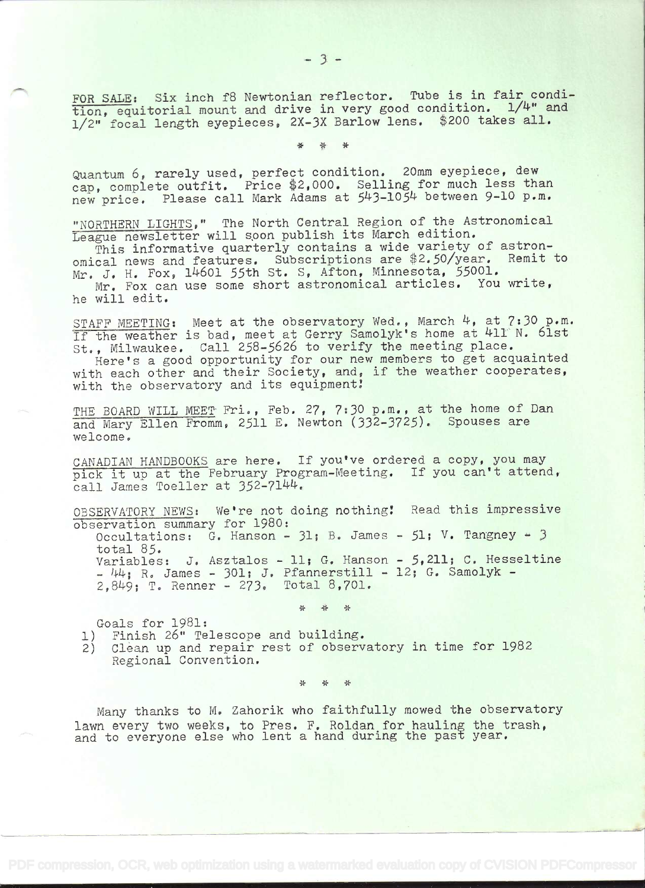FOR SALE: Six inch f8 Newtonian reflector. Tube is in fair condition, equitorial mount and drive in very good condition. 1/4" and 1/2" focal length eyepieces, 2X-3X Barlow lens. \$200 takes all.

\* \* \*

Quantum 6, rarely used, perfect condition. 20mm eyepiece, dew cap, complete outfit. Price \$2,000. Selling for much less than new price. Please call Mark Adams at 543-1054 between 9-10 p.m.

"NORTHERN LIGHTS," The North Central Region of the Astronomical League newsletter will soon publish its March edition.

This informative quarterly contains a wide variety of astronomical news and features. Subscriptions are \$2.50/year. Remit to Mr. J. H. Fox, 14601 55th St. S, Afton, Minnesota, 55001.

Mr. Fox can use some short astronomical articles. You write, he will edit.

STAFF MEETING: Meet at the observatory Wed., March 4, at 7:30 p.m. If the weather is bad, meet at Gerry Samolyk's home at 411 N. 61st St. , Milwaukee. Call 258-5626 to verify the meeting place.

Here's a good opportunity for our new members to get acquainted with each other and their Society, and, if the weather cooperates, with the observatory and its equipment!

THE BOARD WILL MEET Fri., Feb. 27, 7:30 p.m., at the home of Dan and Mary Ellen Fromm, 2511 E. Newton (332-3725). Spouses are welcome.

CANADIAN HANDBOOKS are here. If you've ordered a copy, you may pick it up at the February Program-Meeting. If you can't attend, call James Toeller at 352-7144.

OBSERVATORY NEWS: We're not doing nothing! Read this impressive observation summary for 1980: Occultations: G. Hanson -  $31$ ; B. James -  $51$ ; V. Tangney -  $3$ total 85. Variables: J. Asztalos - 11; G. Hanson - 5,211; C. Hesseltine  $144$ ; R. James - 301; J. Pfannerstill - 12; G. Samolyk -2,8149; T. Renner - 273. Total 8,701.

\* \* \*

Goals for 1981;

1) Finish 26" Telescope and building.

2) Clean up and repair rest of observatory in time for 1982 Regional Convention.

\* \* \*

Many thanks to M. Zahorik who faithfully mowed the observatory lawn every two weeks, to Pres. F. Roldan for hauling the trash, and to everyone else who lent a hand during the past year.